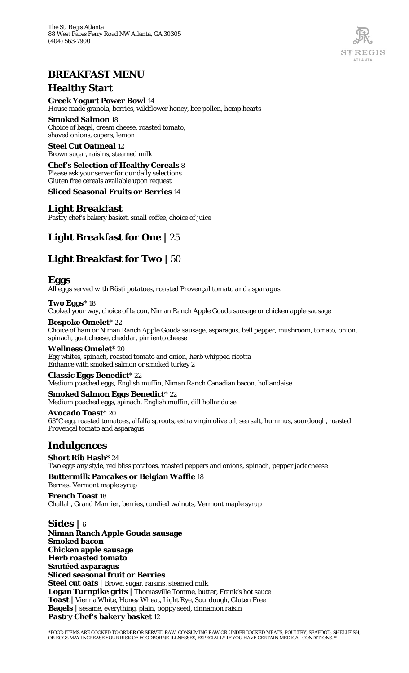

## **BREAKFAST MENU**

#### **Healthy Start**

#### **Greek Yogurt Power Bowl** 14

House made granola, berries, wildflower honey, bee pollen, hemp hearts

#### **Smoked Salmon** 18

Choice of bagel, cream cheese, roasted tomato, shaved onions, capers, lemon

**Steel Cut Oatmeal** 12 Brown sugar, raisins, steamed milk

#### **Chef's Selection of Healthy Cereals** 8

Please ask your server for our daily selections

Gluten free cereals available upon request

**Sliced Seasonal Fruits or Berries** 14

#### **Light Breakfast**

Pastry chef's bakery basket, small coffee, choice of juice

# **Light Breakfast for One |** 25

# **Light Breakfast for Two |** 50

#### **Eggs**

*All eggs served with Rösti potatoes, roasted Provençal tomato and asparagus*

**Two Eggs**\* 18 Cooked your way, choice of bacon, Niman Ranch Apple Gouda sausage or chicken apple sausage

**Bespoke Omelet**\* 22

Choice of ham or Niman Ranch Apple Gouda sausage, asparagus, bell pepper, mushroom, tomato, onion, spinach, goat cheese, cheddar, pimiento cheese

#### **Wellness Omelet**\* 20

Egg whites, spinach, roasted tomato and onion, herb whipped ricotta Enhance with smoked salmon or smoked turkey 2

**Classic Eggs Benedict**\* 22 Medium poached eggs, English muffin, Niman Ranch Canadian bacon, hollandaise

**Smoked Salmon Eggs Benedict**\* 22 Medium poached eggs, spinach, English muffin, dill hollandaise

**Avocado Toast**\* 20 63°C egg, roasted tomatoes, alfalfa sprouts, extra virgin olive oil, sea salt, hummus, sourdough, roasted Provençal tomato and asparagus

## **Indulgences**

**Short Rib Hash\*** 24 Two eggs any style, red bliss potatoes, roasted peppers and onions, spinach, pepper jack cheese

#### **Buttermilk Pancakes or Belgian Waffle** 18 Berries, Vermont maple syrup

**French Toast** 18 Challah, Grand Marnier, berries, candied walnuts, Vermont maple syrup

**Sides |** 6 **Niman Ranch Apple Gouda sausage Smoked bacon Chicken apple sausage Herb roasted tomato Sautéed asparagus Sliced seasonal fruit or Berries Steel cut oats |** Brown sugar, raisins, steamed milk **Logan Turnpike grits |** Thomasville Tomme, butter, Frank's hot sauce **Toast |** Vienna White, Honey Wheat, Light Rye, Sourdough, Gluten Free **Bagels |** sesame, everything, plain, poppy seed, cinnamon raisin **Pastry Chef's bakery basket** 12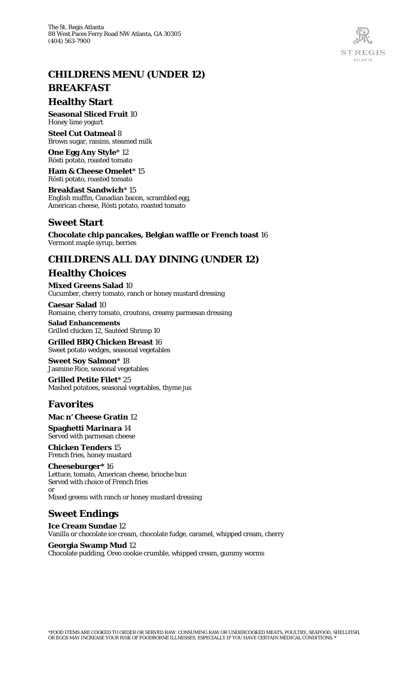# **CHILDRENS MENU (UNDER 12)**

# **BREAKFAST**

#### **Healthy Start**

**Seasonal Sliced Fruit** 10 Honey lime yogurt

**Steel Cut Oatmeal** 8 Brown sugar, raisins, steamed milk

**One Egg Any Style**\* 12 Rösti potato, roasted tomato

**Ham & Cheese Omelet**\* 15 Rösti potato, roasted tomato

**Breakfast Sandwich**\* 15 English muffin, Canadian bacon, scrambled egg, American cheese, Rösti potato, roasted tomato

# **Sweet Start**

**Chocolate chip pancakes, Belgian waffle or French toast** 16 Vermont maple syrup, berries

# **CHILDRENS ALL DAY DINING (UNDER 12)**

## **Healthy Choices**

**Mixed Greens Salad** 10 Cucumber, cherry tomato, ranch or honey mustard dressing

**Caesar Salad** 10 Romaine, cherry tomato, croutons, creamy parmesan dressing

**Salad Enhancements** Grilled chicken 12, Sautéed Shrimp 10

**Grilled BBQ Chicken Breast** 16 Sweet potato wedges, seasonal vegetables

**Sweet Soy Salmon**\* 18 Jasmine Rice, seasonal vegetables

**Grilled Petite Filet**\* 25 Mashed potatoes, seasonal vegetables, thyme jus

## **Favorites**

**Mac n' Cheese Gratin** 12

**Spaghetti Marinara** 14 Served with parmesan cheese

**Chicken Tenders** 15 French fries, honey mustard

**Cheeseburger\*** 16 Lettuce, tomato, American cheese, brioche bun Served with choice of French fries or

Mixed greens with ranch or honey mustard dressing

## **Sweet Endings**

**Ice Cream Sundae** 12 Vanilla or chocolate ice cream, chocolate fudge, caramel, whipped cream, cherry

**Georgia Swamp Mud** 12 Chocolate pudding, Oreo cookie crumble, whipped cream, gummy worms

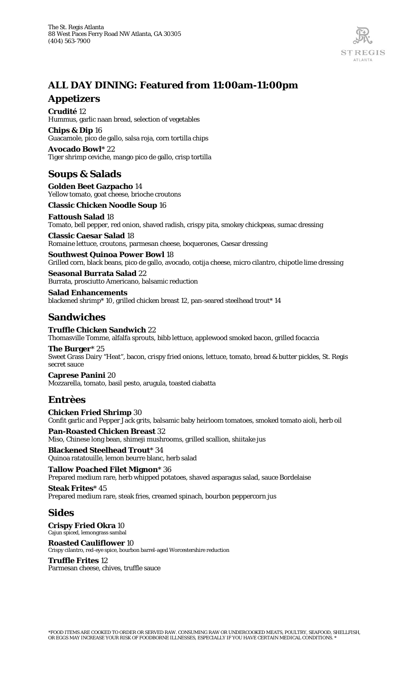

# **ALL DAY DINING: Featured from 11:00am-11:00pm**

#### **Appetizers**

**Crudité** 12 Hummus, garlic naan bread, selection of vegetables

**Chips & Dip** 16 Guacamole, pico de gallo, salsa roja, corn tortilla chips **Avocado Bowl**\* 22

Tiger shrimp ceviche, mango pico de gallo, crisp tortilla

# **Soups & Salads**

**Golden Beet Gazpacho** 14 Yellow tomato, goat cheese, brioche croutons

**Classic Chicken Noodle Soup** 16

**Fattoush Salad** 18 Tomato, bell pepper, red onion, shaved radish, crispy pita, smokey chickpeas, sumac dressing

**Classic Caesar Salad** 18 Romaine lettuce, croutons, parmesan cheese, boquerones, Caesar dressing

**Southwest Quinoa Power Bowl** 18

Grilled corn, black beans, pico de gallo, avocado, cotija cheese, micro cilantro, chipotle lime dressing

**Seasonal Burrata Salad** 22 Burrata, prosciutto Americano, balsamic reduction

**Salad Enhancements** blackened shrimp\* 10, grilled chicken breast 12, pan-seared steelhead trout\* 14

## **Sandwiches**

**Truffle Chicken Sandwich** 22 Thomasville Tomme, alfalfa sprouts, bibb lettuce, applewood smoked bacon, grilled focaccia

**The Burger**\* 25 Sweet Grass Dairy "Heat", bacon, crispy fried onions, lettuce, tomato, bread & butter pickles, St. Regis secret sauce

**Caprese Panini** 20 Mozzarella, tomato, basil pesto, arugula, toasted ciabatta

## **Entrèes**

**Chicken Fried Shrimp** 30 Confit garlic and Pepper Jack grits, balsamic baby heirloom tomatoes, smoked tomato aioli, herb oil

**Pan-Roasted Chicken Breast** 32 Miso, Chinese long bean, shimeji mushrooms, grilled scallion, shiitake jus

**Blackened Steelhead Trout**\* 34 Quinoa ratatouille, lemon beurre blanc, herb salad

**Tallow Poached Filet Mignon**\* 36 Prepared medium rare, herb whipped potatoes, shaved asparagus salad, sauce Bordelaise **Steak Frites**\* 45

Prepared medium rare, steak fries, creamed spinach, bourbon peppercorn jus

#### **Sides**

**Crispy Fried Okra** 10 Cajun spiced, lemongrass sambal

**Roasted Cauliflower** 10 Crispy cilantro, red-eye spice, bourbon barrel-aged Worcestershire reduction

#### **Truffle Frites** 12

Parmesan cheese, chives, truffle sauce